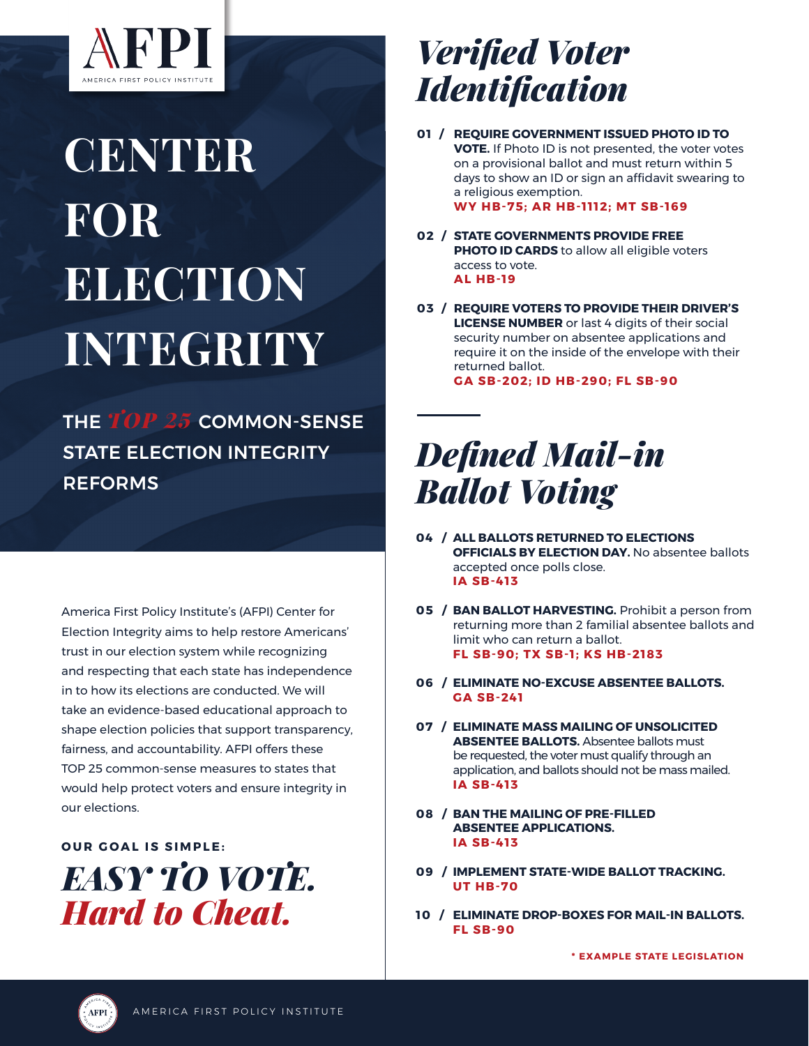

# **CENTER** FOR **ELECTION** INTEGRITY

THE *TOP 25* COMMON-SENSE STATE ELECTION INTEGRITY REFORMS

America First Policy Institute's (AFPI) Center for Election Integrity aims to help restore Americans' trust in our election system while recognizing and respecting that each state has independence in to how its elections are conducted. We will take an evidence-based educational approach to shape election policies that support transparency, fairness, and accountability. AFPI offers these TOP 25 common-sense measures to states that would help protect voters and ensure integrity in our elections.

**OUR GOAL IS SIMPLE:** 

*EASY TO VOTE. Hard to Cheat.* 

### *Verified Voter Identification*

- **REQUIRE GOVERNMENT ISSUED PHOTO ID TO 01 / VOTE.** If Photo ID is not presented, the voter votes on a provisional ballot and must return within 5 days to show an ID or sign an affidavit swearing to a religious exemption. **WY HB-75; AR HB-1112; MT SB-169**
- **STATE GOVERNMENTS PROVIDE FREE 02 / PHOTO ID CARDS** to allow all eligible voters access to vote. **AL HB-19**
- **REQUIRE VOTERS TO PROVIDE THEIR DRIVER'S 03 / LICENSE NUMBER** or last 4 digits of their social security number on absentee applications and require it on the inside of the envelope with their returned ballot.

**GA SB-202; ID HB-290; FL SB-90**

## *Defined Mail-in Ballot Voting*

- **ALL BALLOTS RETURNED TO ELECTIONS 04 / OFFICIALS BY ELECTION DAY.** No absentee ballots accepted once polls close. **IA SB-413**
- **BAN BALLOT HARVESTING.** Prohibit a person from **05 /** returning more than 2 familial absentee ballots and limit who can return a ballot. **FL SB-90; TX SB-1; KS HB-2183**
- **ELIMINATE NO-EXCUSE ABSENTEE BALLOTS. 06 / GA SB-241**
- **ELIMINATE MASS MAILING OF UNSOLICITED 07 / ABSENTEE BALLOTS.** Absentee ballots must be requested, the voter must qualify through an application, and ballots should not be mass mailed. **IA SB-413**
- **BAN THE MAILING OF PRE-FILLED 08 / ABSENTEE APPLICATIONS. IA SB-413**
- **IMPLEMENT STATE-WIDE BALLOT TRACKING. 09 / UT HB-70**
- **ELIMINATE DROP-BOXES FOR MAIL-IN BALLOTS. 10 / FL SB-90**